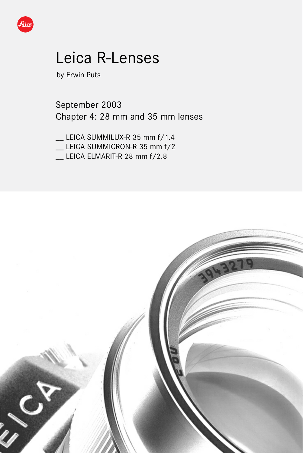

# Leica R-Lenses

by Erwin Puts

September 2003 Chapter 4: 28 mm and 35 mm lenses

\_\_ LEICA SUMMILUX-R 35 mm f/1.4 \_\_ LEICA SUMMICRON-R 35 mm f/2

LEICA ELMARIT-R 28 mm f/2.8

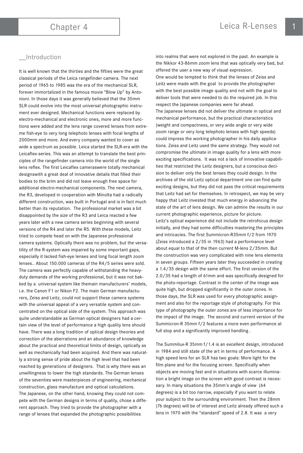# **Introduction**

It is well known that the thirties and the fifties were the great classical periods of the Leica rangefinder camera. The next period of 1965 to 1985 was the era of the mechanical SLR, forever immortalized in the famous movie "Blow Up" by Antonioni. In those days it was generally believed that the 35mm SLR could evolve into the most universal photographic instrument ever designed. Mechanical functions were replaced by electro-mechanical and electronic ones, more and more functions were added and the lens range covered lenses from extreme fish-eye to very long telephoto lenses with focal lengths of 2000mm and more. And every company wanted to cover as wide a spectrum as possible. Leica started the SLR-era with the Leicaflex-series. This was an attempt to translate the best principles of the rangefinder camera into the world of the single lens reflex. The first Leicaflex cameraswere totally mechanical designswith a great deal of innovative details that filled their bodies to the brim and did not leave enough free space for additional electro-mechanical components. The next camera, the R3, developed in cooperation with Minolta had a radically different construction, was built in Portugal and is in fact much better than its reputation. The professional market was a bit disappointed by the size of the R3 and Leica reacted a few years later with a new camera series beginning with several versions of the R4 and later the R5. With these models, Leitz tried to compete head on with the Japanese professional camera systems. Optically there was no problem, but the versatility of the R-system was impaired by some important gaps, especially it lacked fish-eye lenses and long focal length zoom lenses.. About 150.000 cameras of the R4/5 series were sold. The camera was perfectly capable of withstanding the heavyduty demands of the working professional, but it was not bakked by a universal system like themain manufacturers' models, i.e. the Canon F1 or Nikon F2. The main German manufacturers, Zeiss and Leitz, could not support these camera systems with the universal appeal of a very versatile system and concentrated on the optical side of the system. This approach was quite understandable as German optical designers had a certain view of the level of performance a high quality lens should have. There was a long tradition of optical design theories and correction of the aberrations and an abundance of knowledge about the practical and theoretical limits of design, optically as well as mechanically had been acquired. And there was naturally a strong sense of pride about the high level that had been reached by generations of designers. That is why there was an unwillingness to lower the high standards. The German lenses of the seventies were masterpieces of engineering, mechanical construction, glass manufacture and optical calculations. The Japanese, on the other hand, knowing they could not compete with the German designs in terms of quality, chose a different approach. They tried to provide the photographer with a range of lenses that expanded the photographic possibilities

into realms that were not explored in the past. An example is the Nikkor 43-86mm zoom lens that was optically very bad, but offered the user a new way of visual expression.

One would be tempted to think that the lenses of Zeiss and Leitz were made with the goal to provide the photographer with the best possible image quality and not with the goal to deliver tools that were needed to do the required job. In this respect the Japanese companies were far ahead. The Japanese lenses did not deliver the ultimate in optical and mechanical performance, but the practical characteristics (weight and compactness, or very wide angle or very wide zoom range or very long telephoto lenses with high speeds) could impress the working photographer in his daily applications. Zeiss and Leitz used the same strategy. They would not compromise the ultimate in image quality for a lens with more exciting specifications. It was not a lack of innovative capabilities that restricted the Leitz designers, but a conscious decision to deliver only the best lenses they could design. In the archives of the old Leitz optical department one can find quite exciting designs, but they did not pass the critical requirements that Leitz had set for themselves. In retrospect, we may be very happy that Leitz invested that much energy in advancing the state of the art of lens design. We can admire the results in our current photographic experience, picture for picture. Leitz's optical experience did not include the retrofocus design initially, and they had some difficulties mastering the principles and intricacies. The first Summicron-R35mm f/2 from 1970 (Zeiss introduced a 2/35 in 1963) had a performance level about equal to that of the then current M-lens 2/35mm. But the construction was very complicated with nine lens elements in seven groups. Fifteen years later they succeeded in creating a 1.4/35 design with the same effort. The first version of the 2.0/35 had a length of 61mm and was specifically designed for the photo-reportage. Contrast in the center of the image was quite high, but dropped significantly in the outer zones. In those days, the SLR was used for every photographic assignment and also for the reportage style of photography. For this type of photography the outer zones are of less importance for the impact of the image. The second and current version of the Summicron-R 35mm f/2 features a more even performance at full stop and a significantly improved handling .

The Summilux-R 35mm f/1.4 is an excellent design, introduced in 1984 and still state of the art in terms of performance. A high speed lens for an SLR has two goals: More light for the film plane and for the focusing screen. Specifically when objects are moving fast and in situations with scarce illumination a bright image on the screen with good contrast is necessary. In many situations the 35mm's angle of view (64 degrees) is a bit too narrow, especially if you want to relate your subject to the surrounding environment. Then the 28mm (76 degrees) will be of interest and Leitz already offered such a lens in 1970 with the "standard" speed of 2.8. It was a very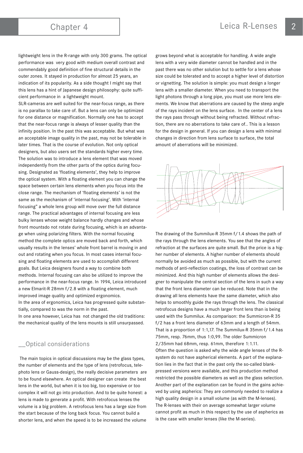lightweight lens in the R-range with only 300 grams. The optical performance was very good with medium overall contrast and commendably good definition of fine structural details in the outer zones. It stayed in production for almost 25 years, an indication of its popularity. As a side thought I might say that this lens has a hint of Japanese design philosophy: quite sufficient performance in a lightweight mount.

SLR-cameras are well suited for the near-focus range, as there is no parallax to take care of. But a lens can only be optimized for one distance or magnification. Normally one has to accept that the near-focus range is always of lesser quality than the infinity position. In the past this was acceptable. But what was an acceptable image quality in the past, may not be tolerable in later times. That is the course of evolution. Not only optical designers, but also users set the standards higher every time. The solution was to introduce a lens element that was moved independently from the other parts of the optics during focusing. Designated as 'floating elements', they help to improve the optical system. With a floating element you can change the space between certain lens elements when you focus into the close range. The mechanism of 'floating elements' is not the same as the mechanism of 'internal focusing'. With 'internal focusing" a whole lens group will move over the full distance range. The practical advantages of internal focusing are less bulky lenses whose weight balance hardly changes and whose front mountsdo not rotate during focusing, which is an advantage when using polarizing filters. With the normal focusing method the complete optics are moved back and forth, which usually results in the lenses' whole front barrel is moving in and out and rotating when you focus. In most cases internal focusing and floating elements are used to accomplish different goals. But Leica designers found a way to combine both methods. Internal focusing can also be utilized to improve the performance in the near-focus range. In 1994, Leica introduced a new Elmarit-R 28mm f/2.8 with a floating element, much improved image quality and optimized ergonomics. In the area of ergonomics, Leica has progressed quite substantially, compared to was the norm in the past.

In one area however, Leica has not changed the old traditions: the mechanical quality of the lens mounts is still unsurpassed.

# \_\_Optical considerations

The main topics in optical discussions may be the glass types, the number of elements and the type of lens (retrofocus, telephoto lens or Gauss-design), the really decisive parameters are to be found elsewhere. An optical designer can create the best lens in the world, but when it is too big, too expensive or too complex it will not go into production. And to be quite honest: a lens is made to generate a profit. With retrofocus lenses the volume is a big problem. A retrofocus lens has a large size from the start because of the long back focus. You cannot build a shorter lens, and when the speed is to be increased the volume

grows beyond what is acceptable for handling. A wide angle lens with a very wide diameter cannot be handled and in the past there was no other solution but to settle for a lens whose size could be tolerated and to accept a higher level of distortion or vignetting. The solution is simple: you must design a longer lens with a smaller diameter. When you need to transport the light photons through a long pipe, you must use more lens elements. We know that aberrations are caused by the steep angle of the rays incident on the lens surface. In the center of a lens the rays pass through without being refracted. Without refraction, there are no aberrations to take care of.. This is a lesson for the design in general. If you can design a lens with minimal changes in direction from lens surface to surface, the total amount of aberrations will be minimized.



The drawing of the Summilux-R 35mm f/1.4 shows the path of the rays through the lens elements. You see that the angles of refraction at the surfaces are quite small. But the price is a higher number of elements. A higher number of elements should normally be avoided as much as possible, but with the current methods of anti-reflection coatings, the loss of contrast can be minimized. And this high number of elements allows the designer to manipulate the central section of the lens in such a way that the front lens diameter can be reduced. Note that in the drawing all lens elements have the same diameter, which also helps to smoothly guide the rays through the lens. The classical retrofocus designs have a much larger front lens than is being used with the Summilux. As comparison: the Summicron-R 35 f/2 has a front lens diameter of 63mm and a length of 54mm. That is a proportion of 1:1,17. The Summilux-R 35mm f/1.4 has 75mm, resp. 76mm, thus 1:0,99. The older Summicron 2/35mm had 68mm, resp. 61mm, therefore 1:1.11. Often the question is asked why the wide angle lenses of the Rsystem do not have aspherical elements. A part of the explanation lies in the fact that in the past only the so-called blankpressed versions were available, and this production method restricted the possible diameters as well as the glass selection. Another part of the explanation can be found in the gains achieved by using aspherics: They are commonly needed to realize a high quality design in a small volume (as with the M-lenses). The R-lenses with their on average somewhat larger volume cannot profit as much in this respect by the use of aspherics as is the case with smaller lenses (like the M-series).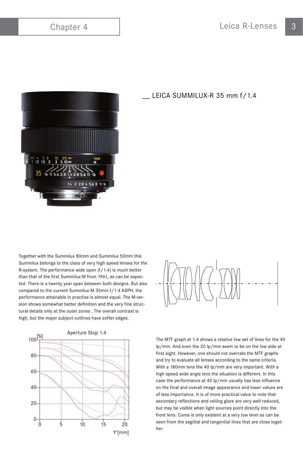

LEICA SUMMILUX-R 35 mm f/1.4

Together with the Summilux 80mm and Summilux 50mm this Summilux belongs to the class of very high speed lenses for the R-system. The performance wide open (f/1.4) is much better than that of the first Summilux-M from 1961, as can be expected. There is a twenty year span between both designs. But also compared to the current Summilux-M 35mm f/1.4 ASPH. the performance attainable in practise is almost equal. The M-version shows somewhat better definition and the very fine structural details only at the outer zones . The overall contrast is high, but the major subject outlines have softer edges.





The MTF graph at 1.4 shows a relative low set of lines for the 40 lp/mm. And even the 20 lp/mm seem to be on the low side at first sight. However, one should not overrate the MTF graphs and try to evaluate all lenses according to the same criteria. With a 180mm lens the 40 lp/mm are very important. With a high speed wide angle lens the situation is different. In this case the performance at 40 lp/mm usually has less influence on the final and overall image appearance and lower values are of less importance. It is of more practical value to note that secondary reflections and veiling glare are very well reduced, but may be visible when light sources point directly into the front lens. Coma is only existent at a very low level as can be seen from the sagittal and tangential lines that are close together.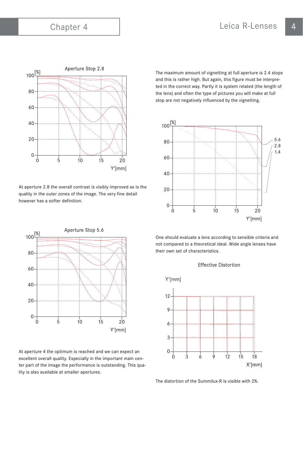

At aperture 2.8 the overall contrast is visibly improved as is the quality in the outer zones of the image. The very fine detail however has a softer definition.



At aperture 4 the optimum is reached and we can expect an excellent overall quality. Especially in the important main center part of the image the performance is outstanding. This quality is also available at smaller apertures.

The maximum amount of vignetting at full aperture is 2.4 stops and this is rather high. But again, this figure must be interpreted in the correct way. Partly it is system related (the length of the lens) and often the type of pictures you will make at full stop are not negatively influenced by the vignetting.



One should evaluate a lens according to sensible criteria and not compared to a theoretical ideal. Wide angle lenses have their own set of characteristics.



The distortion of the Summilux-R is visible with 2%.

### **Effective Distortion**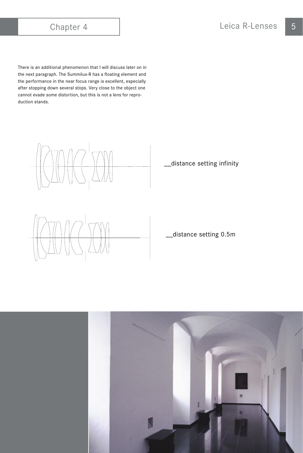There is an additional phenomenon that I will discuss later on in the next paragraph. The Summilux-R has a floating element and the performance in the near focus range is excellent, especially after stopping down several stops. Very close to the object one cannot evade some distortion, but this is not a lens for reproduction stands.



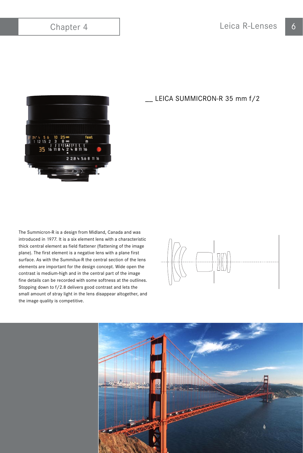

The Summicron-R is a design from Midland, Canada and was introduced in 1977. It is a six element lens with a characteristic thick central element as field flattener (flattening of the image plane). The first element is a negative lens with a plane first surface. As with the Summilux-R the central section of the lens elements are important for the design concept. Wide open the contrast is medium-high and in the central part of the image fine details can be recorded with some softness at the outlines. Stopping down to f/2.8 delivers good contrast and lets the small amount of stray light in the lens disappear altogether, and the image quality is competitive.

\_\_ LEICA SUMMICRON-R 35 mm f/2



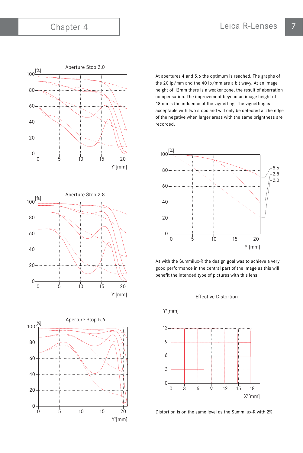





At apertures 4 and 5.6 the optimum is reached. The graphs of the 20 lp/mm and the 40 lp/mm are a bit wavy. At an image height of 12mm there is a weaker zone, the result of aberration compensation. The improvement beyond an image height of 18mm is the influence of the vignetting. The vignetting is acceptable with two stops and will only be detected at the edge of the negative when larger areas with the same brightness are recorded.



As with the Summilux-R the design goal was to achieve a very good performance in the central part of the image as this will benefit the intended type of pictures with this lens.





Distortion is on the same level as the Summilux-R with 2% .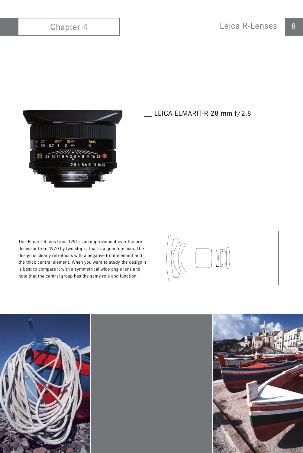

# \_\_ LEICA ELMARIT-R 28 mm f/2.8

This Elmarit-R lens from 1994 is an improvement over the predecessor from 1970 by two stops. That is a quantum leap. The design is clearly retrofocus with a negative front element and the thick central element. When you want to study the design it is best to compare it with a symmetrical wide angle lens and note that the central group has the same role and function.





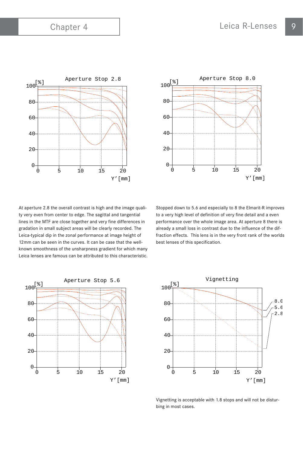

0 5 10 15 20 Y'[mm]  $\mathbf{0}$ 20 40 60 80  $100^{8}$ Aperture Stop 8.0

At aperture 2.8 the overall contrast is high and the image quality very even from center to edge. The sagittal and tangential lines in the MTF are close together and very fine differences in gradation in small subject areas will be clearly recorded. The Leica-typical dip in the zonal performance at image height of 12mm can be seen in the curves. It can be case that the wellknown smoothness of the unsharpness gradient for which many Leica lenses are famous can be attributed to this characteristic.

Stopped down to 5.6 and especially to 8 the Elmarit-R improves to a very high level of definition of very fine detail and a even performance over the whole image area. At aperture 8 there is already a small loss in contrast due to the influence of the diffraction effects. This lens is in the very front rank of the worlds best lenses of this specification.





Vignetting is acceptable with 1.8 stops and will not be disturbing in most cases.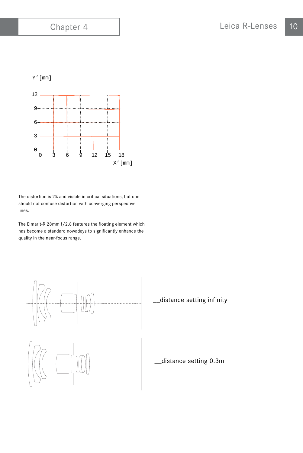

The distortion is 2% and visible in critical situations, but one should not confuse distortion with converging perspective lines.

The Elmarit-R 28mm f/2.8 features the floating element which has become a standard nowadays to significantly enhance the quality in the near-focus range.